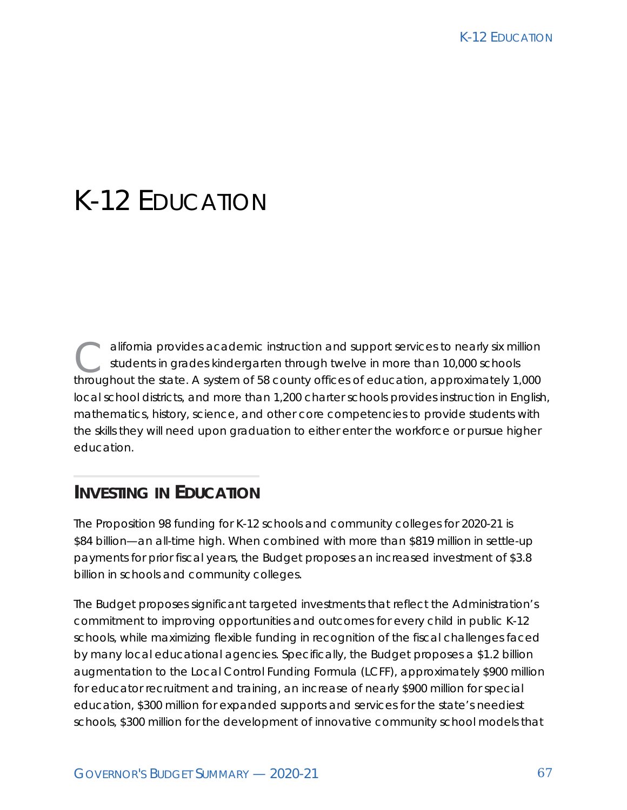alifornia provides academic instruction and support services to nearly six million students in grades kindergarten through twelve in more than 10,000 schools throughout the state. A system of 58 county offices of education, approximately 1,000 local school districts, and more than 1,200 charter schools provides instruction in English, mathematics, history, science, and other core competencies to provide students with the skills they will need upon graduation to either enter the workforce or pursue higher education.

# **INVESTING IN EDUCATION**

The Proposition 98 funding for K-12 schools and community colleges for 2020-21 is \$84 billion—an all-time high. When combined with more than \$819 million in settle-up payments for prior fiscal years, the Budget proposes an increased investment of \$3.8 billion in schools and community colleges.

The Budget proposes significant targeted investments that reflect the Administration's commitment to improving opportunities and outcomes for every child in public K-12 schools, while maximizing flexible funding in recognition of the fiscal challenges faced by many local educational agencies. Specifically, the Budget proposes a \$1.2 billion augmentation to the Local Control Funding Formula (LCFF), approximately \$900 million for educator recruitment and training, an increase of nearly \$900 million for special education, \$300 million for expanded supports and services for the state's neediest schools, \$300 million for the development of innovative community school models that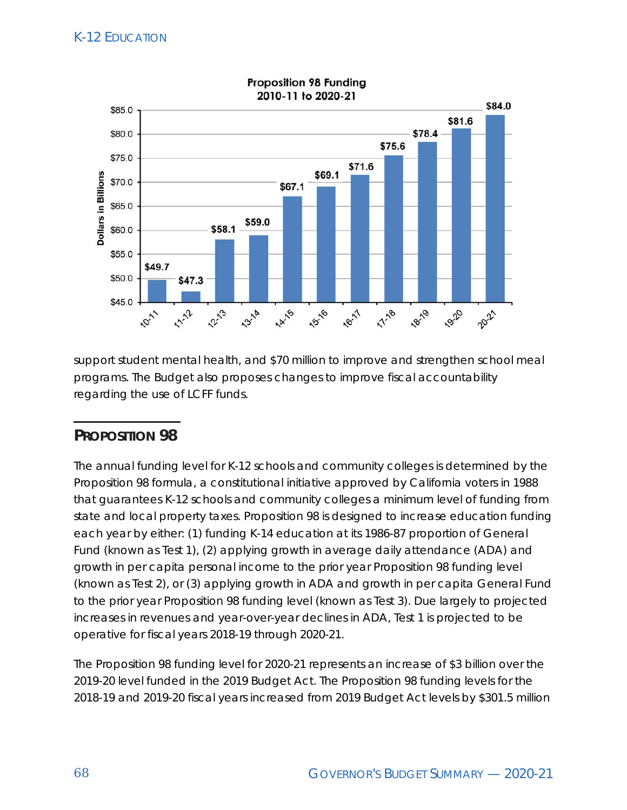

support student mental health, and \$70 million to improve and strengthen school meal programs. The Budget also proposes changes to improve fiscal accountability regarding the use of LCFF funds.

## **PROPOSITION 98**

The annual funding level for K-12 schools and community colleges is determined by the Proposition 98 formula, a constitutional initiative approved by California voters in 1988 that guarantees K-12 schools and community colleges a minimum level of funding from state and local property taxes. Proposition 98 is designed to increase education funding each year by either: (1) funding K-14 education at its 1986-87 proportion of General Fund (known as Test 1), (2) applying growth in average daily attendance (ADA) and growth in per capita personal income to the prior year Proposition 98 funding level (known as Test 2), or (3) applying growth in ADA and growth in per capita General Fund to the prior year Proposition 98 funding level (known as Test 3). Due largely to projected increases in revenues and year-over-year declines in ADA, Test 1 is projected to be operative for fiscal years 2018-19 through 2020-21.

The Proposition 98 funding level for 2020-21 represents an increase of \$3 billion over the 2019-20 level funded in the 2019 Budget Act. The Proposition 98 funding levels for the 2018-19 and 2019-20 fiscal years increased from 2019 Budget Act levels by \$301.5 million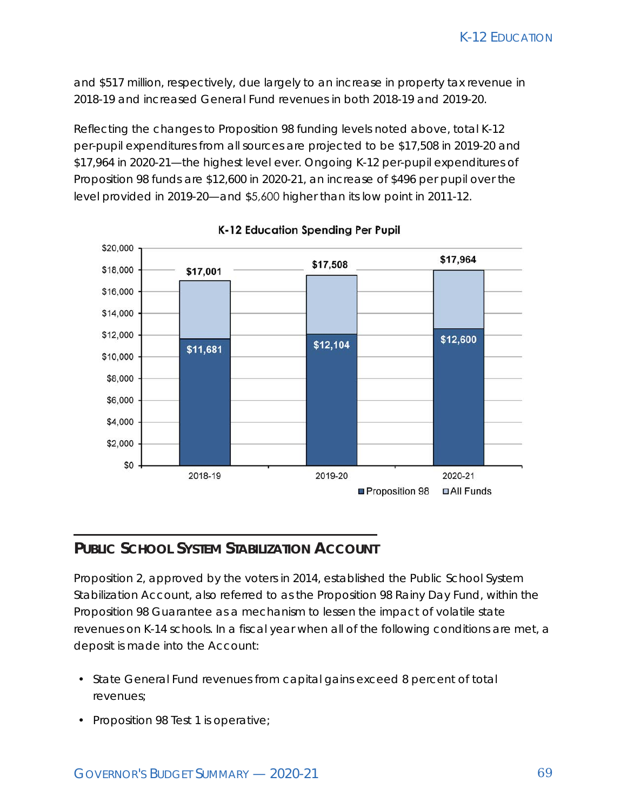and \$517 million, respectively, due largely to an increase in property tax revenue in 2018-19 and increased General Fund revenues in both 2018-19 and 2019-20.

Reflecting the changes to Proposition 98 funding levels noted above, total K-12 per-pupil expenditures from all sources are projected to be \$17,508 in 2019-20 and \$17,964 in 2020-21—the highest level ever. Ongoing K-12 per-pupil expenditures of Proposition 98 funds are \$12,600 in 2020-21, an increase of \$496 per pupil over the level provided in 2019-20—and \$5,600 higher than its low point in 2011-12.



K-12 Education Spending Per Pupil

#### **PUBLIC SCHOOL SYSTEM STABILIZATION ACCOUNT**

Proposition 2, approved by the voters in 2014, established the Public School System Stabilization Account, also referred to as the Proposition 98 Rainy Day Fund, within the Proposition 98 Guarantee as a mechanism to lessen the impact of volatile state revenues on K-14 schools. In a fiscal year when all of the following conditions are met, a deposit is made into the Account:

- State General Fund revenues from capital gains exceed 8 percent of total revenues;
- Proposition 98 Test 1 is operative;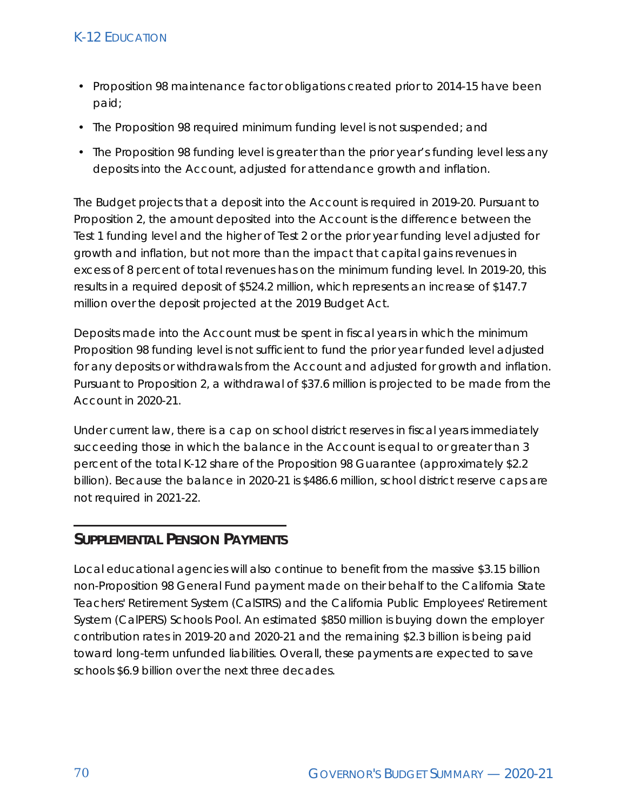- Proposition 98 maintenance factor obligations created prior to 2014-15 have been paid;
- The Proposition 98 required minimum funding level is not suspended; and
- The Proposition 98 funding level is greater than the prior year's funding level less any deposits into the Account, adjusted for attendance growth and inflation.

The Budget projects that a deposit into the Account is required in 2019-20. Pursuant to Proposition 2, the amount deposited into the Account is the difference between the Test 1 funding level and the higher of Test 2 or the prior year funding level adjusted for growth and inflation, but not more than the impact that capital gains revenues in excess of 8 percent of total revenues has on the minimum funding level. In 2019-20, this results in a required deposit of \$524.2 million, which represents an increase of \$147.7 million over the deposit projected at the 2019 Budget Act.

Deposits made into the Account must be spent in fiscal years in which the minimum Proposition 98 funding level is not sufficient to fund the prior year funded level adjusted for any deposits or withdrawals from the Account and adjusted for growth and inflation. Pursuant to Proposition 2, a withdrawal of \$37.6 million is projected to be made from the Account in 2020-21.

Under current law, there is a cap on school district reserves in fiscal years immediately succeeding those in which the balance in the Account is equal to or greater than 3 percent of the total K-12 share of the Proposition 98 Guarantee (approximately \$2.2 billion). Because the balance in 2020-21 is \$486.6 million, school district reserve caps are not required in 2021-22.

#### **SUPPLEMENTAL PENSION PAYMENTS**

Local educational agencies will also continue to benefit from the massive \$3.15 billion non-Proposition 98 General Fund payment made on their behalf to the California State Teachers' Retirement System (CalSTRS) and the California Public Employees' Retirement System (CalPERS) Schools Pool. An estimated \$850 million is buying down the employer contribution rates in 2019-20 and 2020-21 and the remaining \$2.3 billion is being paid toward long-term unfunded liabilities. Overall, these payments are expected to save schools \$6.9 billion over the next three decades.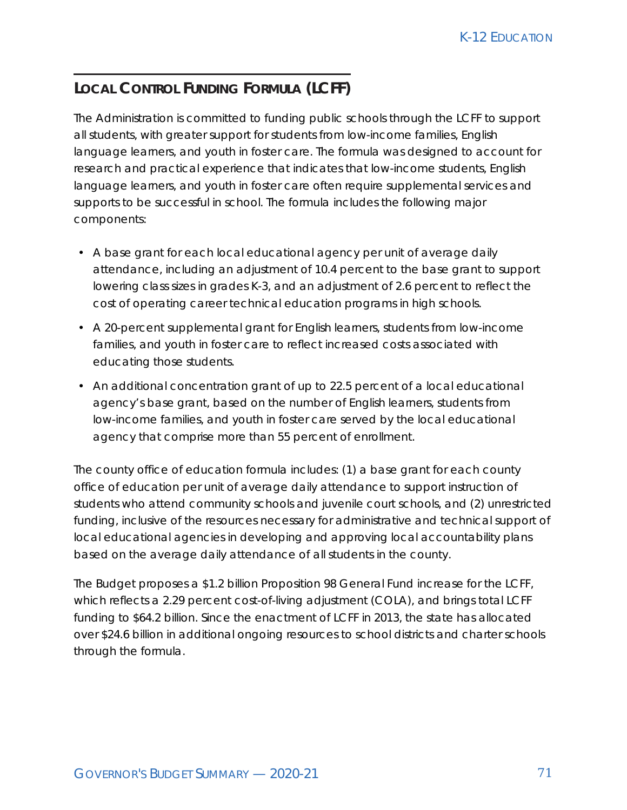## **LOCAL CONTROL FUNDING FORMULA (LCFF)**

The Administration is committed to funding public schools through the LCFF to support all students, with greater support for students from low-income families, English language learners, and youth in foster care. The formula was designed to account for research and practical experience that indicates that low-income students, English language learners, and youth in foster care often require supplemental services and supports to be successful in school. The formula includes the following major components:

- A base grant for each local educational agency per unit of average daily attendance, including an adjustment of 10.4 percent to the base grant to support lowering class sizes in grades K-3, and an adjustment of 2.6 percent to reflect the cost of operating career technical education programs in high schools.
- A 20-percent supplemental grant for English learners, students from low-income families, and youth in foster care to reflect increased costs associated with educating those students.
- An additional concentration grant of up to 22.5 percent of a local educational agency's base grant, based on the number of English learners, students from low-income families, and youth in foster care served by the local educational agency that comprise more than 55 percent of enrollment.

The county office of education formula includes: (1) a base grant for each county office of education per unit of average daily attendance to support instruction of students who attend community schools and juvenile court schools, and (2) unrestricted funding, inclusive of the resources necessary for administrative and technical support of local educational agencies in developing and approving local accountability plans based on the average daily attendance of all students in the county.

The Budget proposes a \$1.2 billion Proposition 98 General Fund increase for the LCFF, which reflects a 2.29 percent cost-of-living adjustment (COLA), and brings total LCFF funding to \$64.2 billion. Since the enactment of LCFF in 2013, the state has allocated over \$24.6 billion in additional ongoing resources to school districts and charter schools through the formula.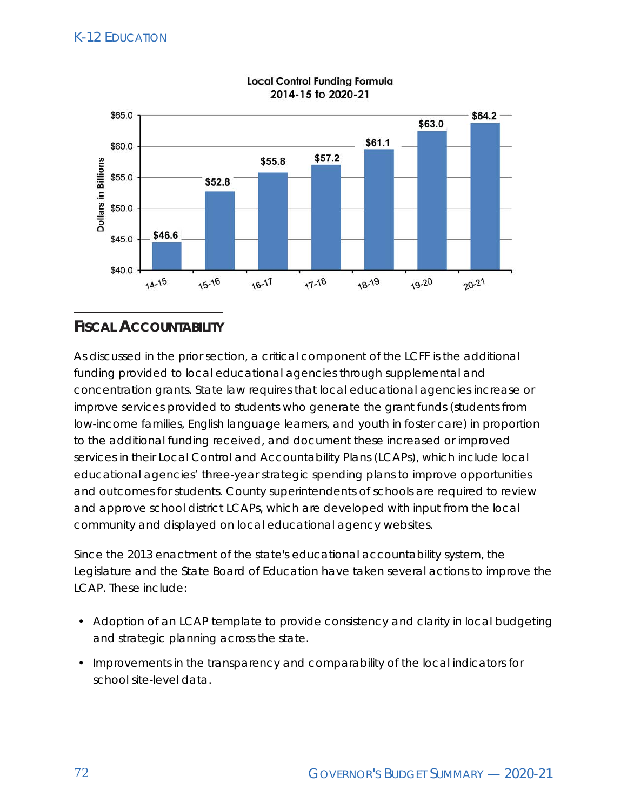

**Local Control Funding Formula** 2014-15 to 2020-21

## **FISCAL ACCOUNTABILITY**

As discussed in the prior section, a critical component of the LCFF is the additional funding provided to local educational agencies through supplemental and concentration grants. State law requires that local educational agencies increase or improve services provided to students who generate the grant funds (students from low-income families, English language learners, and youth in foster care) in proportion to the additional funding received, and document these increased or improved services in their Local Control and Accountability Plans (LCAPs), which include local educational agencies' three-year strategic spending plans to improve opportunities and outcomes for students. County superintendents of schools are required to review and approve school district LCAPs, which are developed with input from the local community and displayed on local educational agency websites.

Since the 2013 enactment of the state's educational accountability system, the Legislature and the State Board of Education have taken several actions to improve the LCAP. These include:

- Adoption of an LCAP template to provide consistency and clarity in local budgeting and strategic planning across the state.
- Improvements in the transparency and comparability of the local indicators for school site-level data.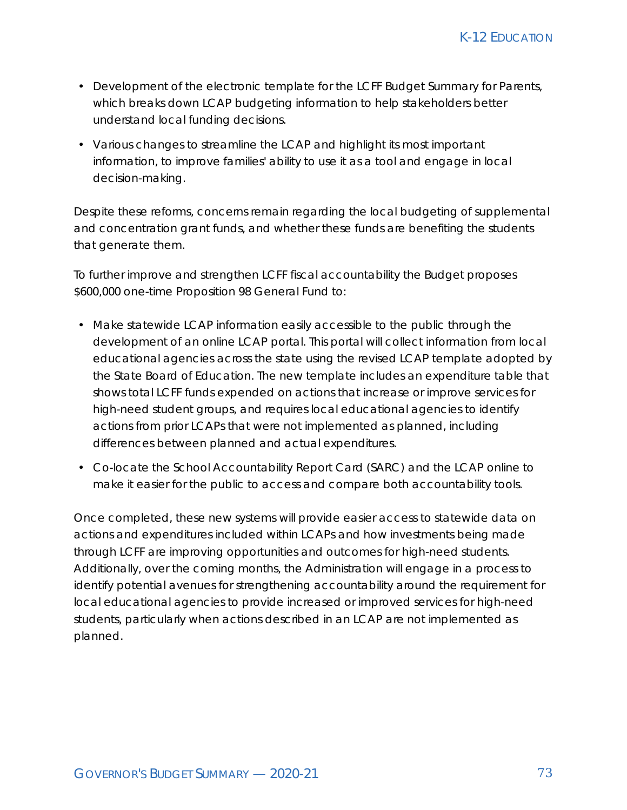- Development of the electronic template for the LCFF Budget Summary for Parents, which breaks down LCAP budgeting information to help stakeholders better understand local funding decisions.
- Various changes to streamline the LCAP and highlight its most important information, to improve families' ability to use it as a tool and engage in local decision-making.

Despite these reforms, concerns remain regarding the local budgeting of supplemental and concentration grant funds, and whether these funds are benefiting the students that generate them.

To further improve and strengthen LCFF fiscal accountability the Budget proposes \$600,000 one-time Proposition 98 General Fund to:

- Make statewide LCAP information easily accessible to the public through the development of an online LCAP portal. This portal will collect information from local educational agencies across the state using the revised LCAP template adopted by the State Board of Education. The new template includes an expenditure table that shows total LCFF funds expended on actions that increase or improve services for high-need student groups, and requires local educational agencies to identify actions from prior LCAPs that were not implemented as planned, including differences between planned and actual expenditures.
- Co-locate the School Accountability Report Card (SARC) and the LCAP online to make it easier for the public to access and compare both accountability tools.

Once completed, these new systems will provide easier access to statewide data on actions and expenditures included within LCAPs and how investments being made through LCFF are improving opportunities and outcomes for high-need students. Additionally, over the coming months, the Administration will engage in a process to identify potential avenues for strengthening accountability around the requirement for local educational agencies to provide increased or improved services for high-need students, particularly when actions described in an LCAP are not implemented as planned.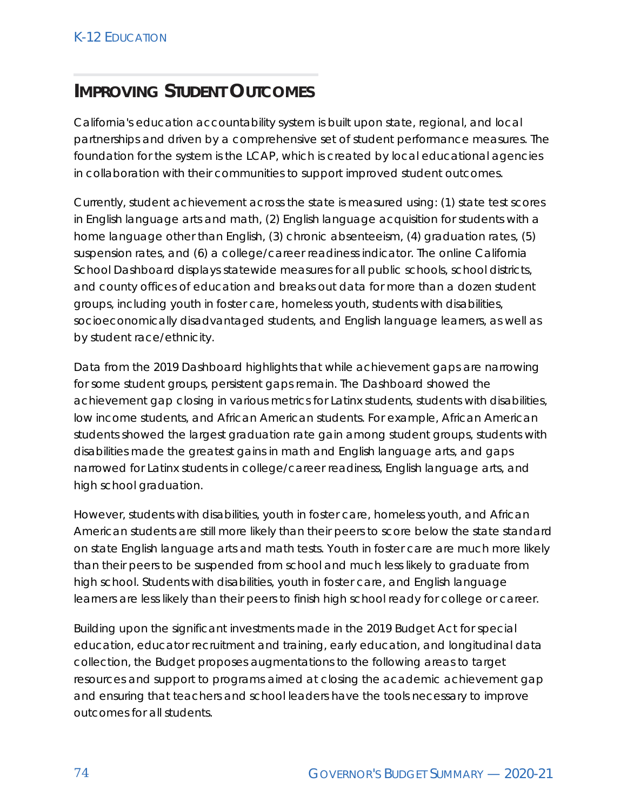# **IMPROVING STUDENT OUTCOMES**

California's education accountability system is built upon state, regional, and local partnerships and driven by a comprehensive set of student performance measures. The foundation for the system is the LCAP, which is created by local educational agencies in collaboration with their communities to support improved student outcomes.

Currently, student achievement across the state is measured using: (1) state test scores in English language arts and math, (2) English language acquisition for students with a home language other than English, (3) chronic absenteeism, (4) graduation rates, (5) suspension rates, and (6) a college/career readiness indicator. The online California School Dashboard displays statewide measures for all public schools, school districts, and county offices of education and breaks out data for more than a dozen student groups, including youth in foster care, homeless youth, students with disabilities, socioeconomically disadvantaged students, and English language learners, as well as by student race/ethnicity.

Data from the 2019 Dashboard highlights that while achievement gaps are narrowing for some student groups, persistent gaps remain. The Dashboard showed the achievement gap closing in various metrics for Latinx students, students with disabilities, low income students, and African American students. For example, African American students showed the largest graduation rate gain among student groups, students with disabilities made the greatest gains in math and English language arts, and gaps narrowed for Latinx students in college/career readiness, English language arts, and high school graduation.

However, students with disabilities, youth in foster care, homeless youth, and African American students are still more likely than their peers to score below the state standard on state English language arts and math tests. Youth in foster care are much more likely than their peers to be suspended from school and much less likely to graduate from high school. Students with disabilities, youth in foster care, and English language learners are less likely than their peers to finish high school ready for college or career.

Building upon the significant investments made in the 2019 Budget Act for special education, educator recruitment and training, early education, and longitudinal data collection, the Budget proposes augmentations to the following areas to target resources and support to programs aimed at closing the academic achievement gap and ensuring that teachers and school leaders have the tools necessary to improve outcomes for all students.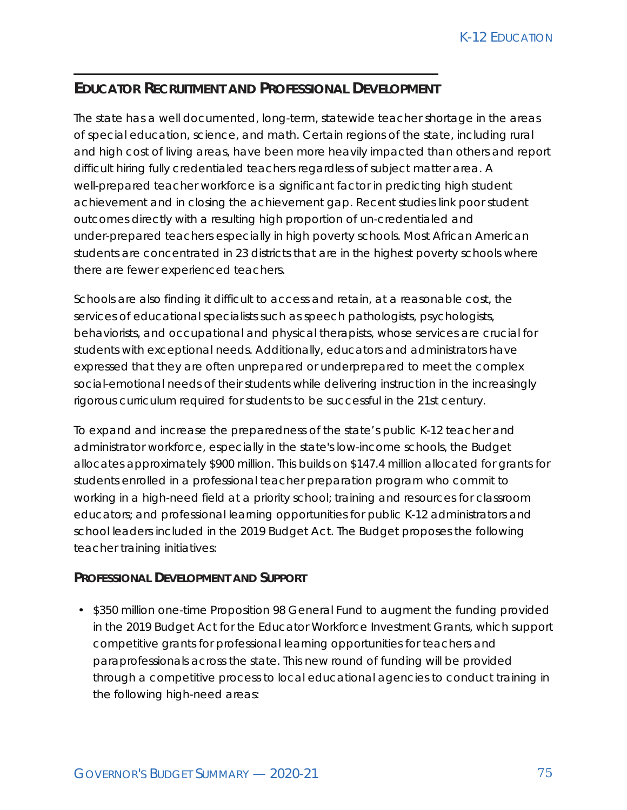### **EDUCATOR RECRUITMENT AND PROFESSIONAL DEVELOPMENT**

The state has a well documented, long-term, statewide teacher shortage in the areas of special education, science, and math. Certain regions of the state, including rural and high cost of living areas, have been more heavily impacted than others and report difficult hiring fully credentialed teachers regardless of subject matter area. A well-prepared teacher workforce is a significant factor in predicting high student achievement and in closing the achievement gap. Recent studies link poor student outcomes directly with a resulting high proportion of un-credentialed and under-prepared teachers especially in high poverty schools. Most African American students are concentrated in 23 districts that are in the highest poverty schools where there are fewer experienced teachers.

Schools are also finding it difficult to access and retain, at a reasonable cost, the services of educational specialists such as speech pathologists, psychologists, behaviorists, and occupational and physical therapists, whose services are crucial for students with exceptional needs. Additionally, educators and administrators have expressed that they are often unprepared or underprepared to meet the complex social-emotional needs of their students while delivering instruction in the increasingly rigorous curriculum required for students to be successful in the 21st century.

To expand and increase the preparedness of the state's public K-12 teacher and administrator workforce, especially in the state's low-income schools, the Budget allocates approximately \$900 million. This builds on \$147.4 million allocated for grants for students enrolled in a professional teacher preparation program who commit to working in a high-need field at a priority school; training and resources for classroom educators; and professional learning opportunities for public K-12 administrators and school leaders included in the 2019 Budget Act. The Budget proposes the following teacher training initiatives:

#### **PROFESSIONAL DEVELOPMENT AND SUPPORT**

• \$350 million one-time Proposition 98 General Fund to augment the funding provided in the 2019 Budget Act for the Educator Workforce Investment Grants, which support competitive grants for professional learning opportunities for teachers and paraprofessionals across the state. This new round of funding will be provided through a competitive process to local educational agencies to conduct training in the following high-need areas: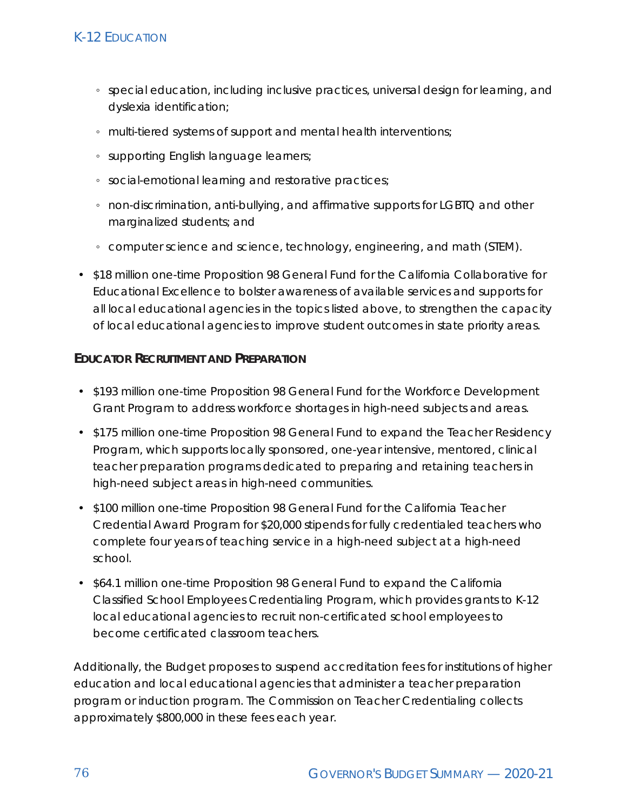- special education, including inclusive practices, universal design for learning, and dyslexia identification;
- multi-tiered systems of support and mental health interventions;
- supporting English language learners;
- social-emotional learning and restorative practices;
- non-discrimination, anti-bullying, and affirmative supports for LGBTQ and other marginalized students; and
- computer science and science, technology, engineering, and math (STEM).
- \$18 million one-time Proposition 98 General Fund for the California Collaborative for Educational Excellence to bolster awareness of available services and supports for all local educational agencies in the topics listed above, to strengthen the capacity of local educational agencies to improve student outcomes in state priority areas.

#### **EDUCATOR RECRUITMENT AND PREPARATION**

- \$193 million one-time Proposition 98 General Fund for the Workforce Development Grant Program to address workforce shortages in high-need subjects and areas.
- \$175 million one-time Proposition 98 General Fund to expand the Teacher Residency Program, which supports locally sponsored, one-year intensive, mentored, clinical teacher preparation programs dedicated to preparing and retaining teachers in high-need subject areas in high-need communities.
- \$100 million one-time Proposition 98 General Fund for the California Teacher Credential Award Program for \$20,000 stipends for fully credentialed teachers who complete four years of teaching service in a high-need subject at a high-need school.
- \$64.1 million one-time Proposition 98 General Fund to expand the California Classified School Employees Credentialing Program, which provides grants to K-12 local educational agencies to recruit non-certificated school employees to become certificated classroom teachers.

Additionally, the Budget proposes to suspend accreditation fees for institutions of higher education and local educational agencies that administer a teacher preparation program or induction program. The Commission on Teacher Credentialing collects approximately \$800,000 in these fees each year.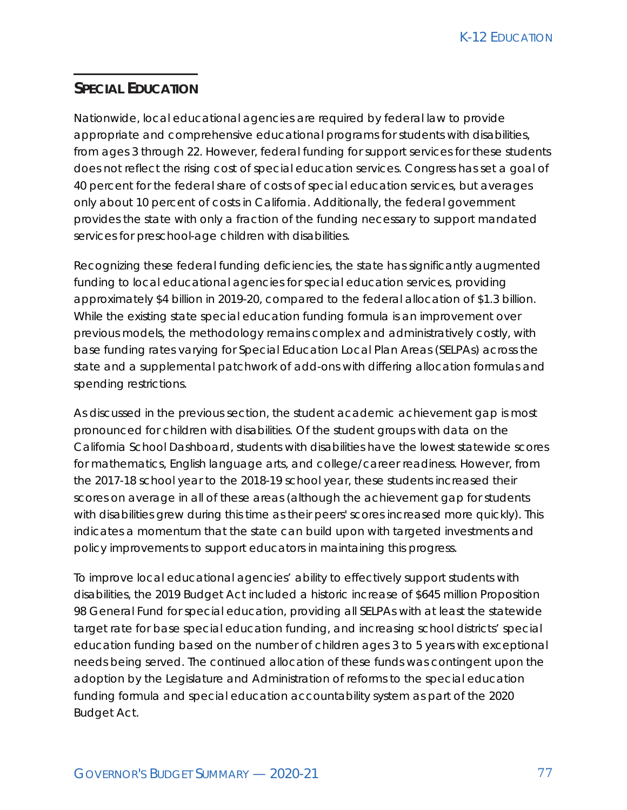#### **SPECIAL EDUCATION**

Nationwide, local educational agencies are required by federal law to provide appropriate and comprehensive educational programs for students with disabilities, from ages 3 through 22. However, federal funding for support services for these students does not reflect the rising cost of special education services. Congress has set a goal of 40 percent for the federal share of costs of special education services, but averages only about 10 percent of costs in California. Additionally, the federal government provides the state with only a fraction of the funding necessary to support mandated services for preschool-age children with disabilities.

Recognizing these federal funding deficiencies, the state has significantly augmented funding to local educational agencies for special education services, providing approximately \$4 billion in 2019-20, compared to the federal allocation of \$1.3 billion. While the existing state special education funding formula is an improvement over previous models, the methodology remains complex and administratively costly, with base funding rates varying for Special Education Local Plan Areas (SELPAs) across the state and a supplemental patchwork of add-ons with differing allocation formulas and spending restrictions.

As discussed in the previous section, the student academic achievement gap is most pronounced for children with disabilities. Of the student groups with data on the California School Dashboard, students with disabilities have the lowest statewide scores for mathematics, English language arts, and college/career readiness. However, from the 2017-18 school year to the 2018-19 school year, these students increased their scores on average in all of these areas (although the achievement gap for students with disabilities grew during this time as their peers' scores increased more quickly). This indicates a momentum that the state can build upon with targeted investments and policy improvements to support educators in maintaining this progress.

To improve local educational agencies' ability to effectively support students with disabilities, the 2019 Budget Act included a historic increase of \$645 million Proposition 98 General Fund for special education, providing all SELPAs with at least the statewide target rate for base special education funding, and increasing school districts' special education funding based on the number of children ages 3 to 5 years with exceptional needs being served. The continued allocation of these funds was contingent upon the adoption by the Legislature and Administration of reforms to the special education funding formula and special education accountability system as part of the 2020 Budget Act.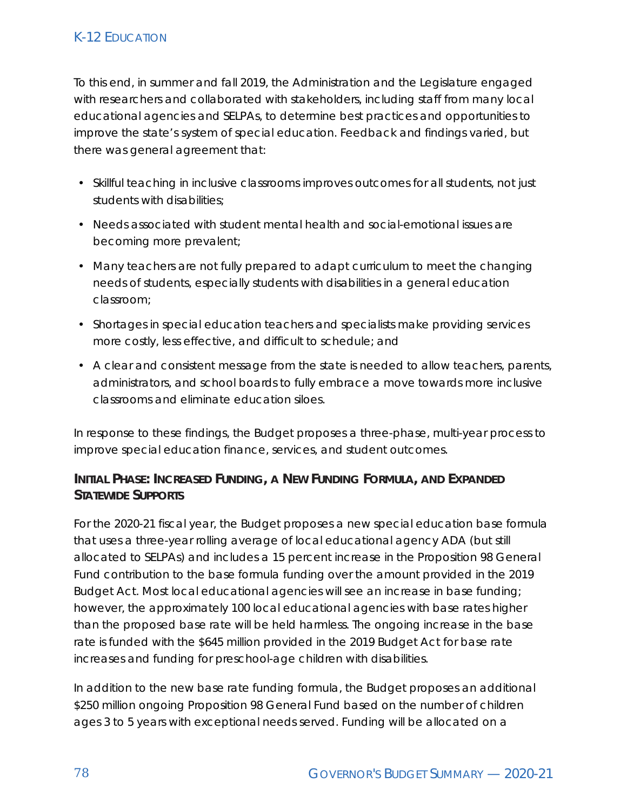To this end, in summer and fall 2019, the Administration and the Legislature engaged with researchers and collaborated with stakeholders, including staff from many local educational agencies and SELPAs, to determine best practices and opportunities to improve the state's system of special education. Feedback and findings varied, but there was general agreement that:

- Skillful teaching in inclusive classrooms improves outcomes for all students, not just students with disabilities;
- Needs associated with student mental health and social-emotional issues are becoming more prevalent;
- Many teachers are not fully prepared to adapt curriculum to meet the changing needs of students, especially students with disabilities in a general education classroom;
- Shortages in special education teachers and specialists make providing services more costly, less effective, and difficult to schedule; and
- A clear and consistent message from the state is needed to allow teachers, parents, administrators, and school boards to fully embrace a move towards more inclusive classrooms and eliminate education siloes.

In response to these findings, the Budget proposes a three-phase, multi-year process to improve special education finance, services, and student outcomes.

#### **INITIAL PHASE: INCREASED FUNDING, A NEW FUNDING FORMULA, AND EXPANDED STATEWIDE SUPPORTS**

For the 2020-21 fiscal year, the Budget proposes a new special education base formula that uses a three-year rolling average of local educational agency ADA (but still allocated to SELPAs) and includes a 15 percent increase in the Proposition 98 General Fund contribution to the base formula funding over the amount provided in the 2019 Budget Act. Most local educational agencies will see an increase in base funding; however, the approximately 100 local educational agencies with base rates higher than the proposed base rate will be held harmless. The ongoing increase in the base rate is funded with the \$645 million provided in the 2019 Budget Act for base rate increases and funding for preschool-age children with disabilities.

In addition to the new base rate funding formula, the Budget proposes an additional \$250 million ongoing Proposition 98 General Fund based on the number of children ages 3 to 5 years with exceptional needs served. Funding will be allocated on a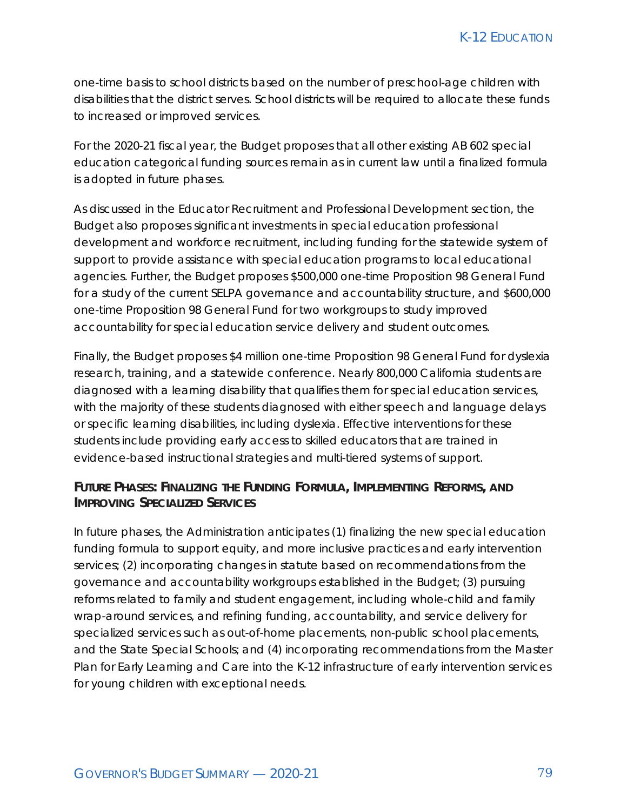one-time basis to school districts based on the number of preschool-age children with disabilities that the district serves. School districts will be required to allocate these funds to increased or improved services.

For the 2020-21 fiscal year, the Budget proposes that all other existing AB 602 special education categorical funding sources remain as in current law until a finalized formula is adopted in future phases.

As discussed in the Educator Recruitment and Professional Development section, the Budget also proposes significant investments in special education professional development and workforce recruitment, including funding for the statewide system of support to provide assistance with special education programs to local educational agencies. Further, the Budget proposes \$500,000 one-time Proposition 98 General Fund for a study of the current SELPA governance and accountability structure, and \$600,000 one-time Proposition 98 General Fund for two workgroups to study improved accountability for special education service delivery and student outcomes.

Finally, the Budget proposes \$4 million one-time Proposition 98 General Fund for dyslexia research, training, and a statewide conference. Nearly 800,000 California students are diagnosed with a learning disability that qualifies them for special education services, with the majority of these students diagnosed with either speech and language delays or specific learning disabilities, including dyslexia. Effective interventions for these students include providing early access to skilled educators that are trained in evidence-based instructional strategies and multi-tiered systems of support.

#### **FUTURE PHASES: FINALIZING THE FUNDING FORMULA, IMPLEMENTING REFORMS, AND IMPROVING SPECIALIZED SERVICES**

In future phases, the Administration anticipates (1) finalizing the new special education funding formula to support equity, and more inclusive practices and early intervention services; (2) incorporating changes in statute based on recommendations from the governance and accountability workgroups established in the Budget; (3) pursuing reforms related to family and student engagement, including whole-child and family wrap-around services, and refining funding, accountability, and service delivery for specialized services such as out-of-home placements, non-public school placements, and the State Special Schools; and (4) incorporating recommendations from the Master Plan for Early Learning and Care into the K-12 infrastructure of early intervention services for young children with exceptional needs.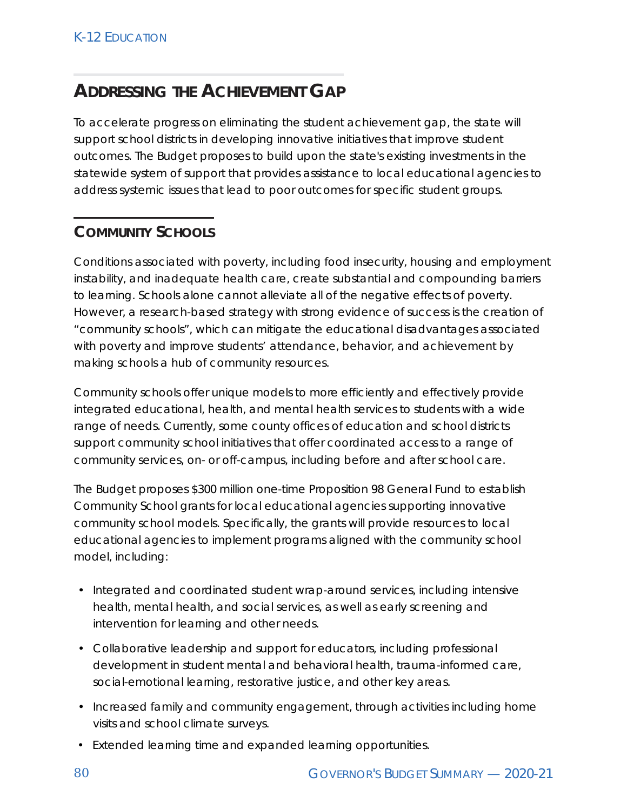# **ADDRESSING THE ACHIEVEMENT GAP**

To accelerate progress on eliminating the student achievement gap, the state will support school districts in developing innovative initiatives that improve student outcomes. The Budget proposes to build upon the state's existing investments in the statewide system of support that provides assistance to local educational agencies to address systemic issues that lead to poor outcomes for specific student groups.

## **COMMUNITY SCHOOLS**

Conditions associated with poverty, including food insecurity, housing and employment instability, and inadequate health care, create substantial and compounding barriers to learning. Schools alone cannot alleviate all of the negative effects of poverty. However, a research-based strategy with strong evidence of success is the creation of "community schools", which can mitigate the educational disadvantages associated with poverty and improve students' attendance, behavior, and achievement by making schools a hub of community resources.

Community schools offer unique models to more efficiently and effectively provide integrated educational, health, and mental health services to students with a wide range of needs. Currently, some county offices of education and school districts support community school initiatives that offer coordinated access to a range of community services, on- or off-campus, including before and after school care.

The Budget proposes \$300 million one-time Proposition 98 General Fund to establish Community School grants for local educational agencies supporting innovative community school models. Specifically, the grants will provide resources to local educational agencies to implement programs aligned with the community school model, including:

- Integrated and coordinated student wrap-around services, including intensive health, mental health, and social services, as well as early screening and intervention for learning and other needs.
- Collaborative leadership and support for educators, including professional development in student mental and behavioral health, trauma-informed care, social-emotional learning, restorative justice, and other key areas.
- Increased family and community engagement, through activities including home visits and school climate surveys.
- Extended learning time and expanded learning opportunities.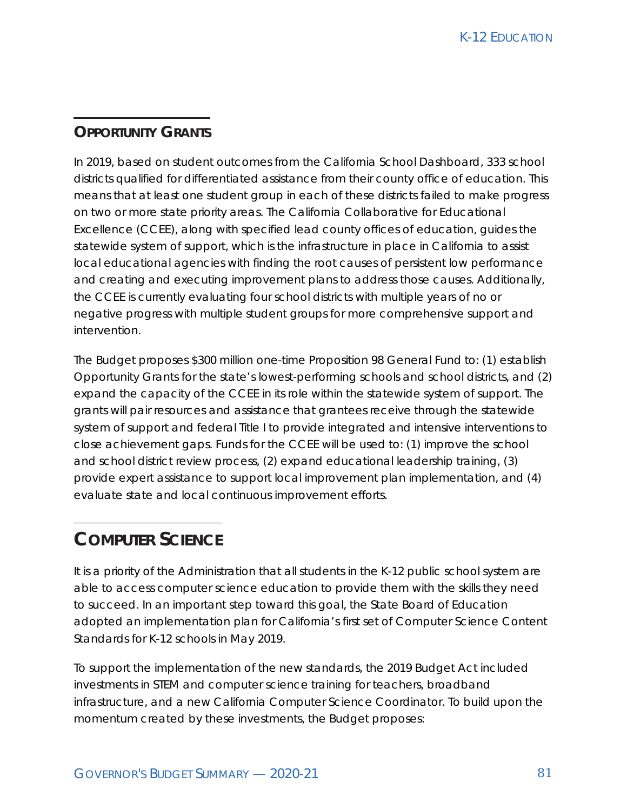#### **OPPORTUNITY GRANTS**

In 2019, based on student outcomes from the California School Dashboard, 333 school districts qualified for differentiated assistance from their county office of education. This means that at least one student group in each of these districts failed to make progress on two or more state priority areas. The California Collaborative for Educational Excellence (CCEE), along with specified lead county offices of education, guides the statewide system of support, which is the infrastructure in place in California to assist local educational agencies with finding the root causes of persistent low performance and creating and executing improvement plans to address those causes. Additionally, the CCEE is currently evaluating four school districts with multiple years of no or negative progress with multiple student groups for more comprehensive support and intervention.

The Budget proposes \$300 million one-time Proposition 98 General Fund to: (1) establish Opportunity Grants for the state's lowest-performing schools and school districts, and (2) expand the capacity of the CCEE in its role within the statewide system of support. The grants will pair resources and assistance that grantees receive through the statewide system of support and federal Title I to provide integrated and intensive interventions to close achievement gaps. Funds for the CCEE will be used to: (1) improve the school and school district review process, (2) expand educational leadership training, (3) provide expert assistance to support local improvement plan implementation, and (4) evaluate state and local continuous improvement efforts.

# **COMPUTER SCIENCE**

It is a priority of the Administration that all students in the K-12 public school system are able to access computer science education to provide them with the skills they need to succeed. In an important step toward this goal, the State Board of Education adopted an implementation plan for California's first set of Computer Science Content Standards for K-12 schools in May 2019.

To support the implementation of the new standards, the 2019 Budget Act included investments in STEM and computer science training for teachers, broadband infrastructure, and a new California Computer Science Coordinator. To build upon the momentum created by these investments, the Budget proposes: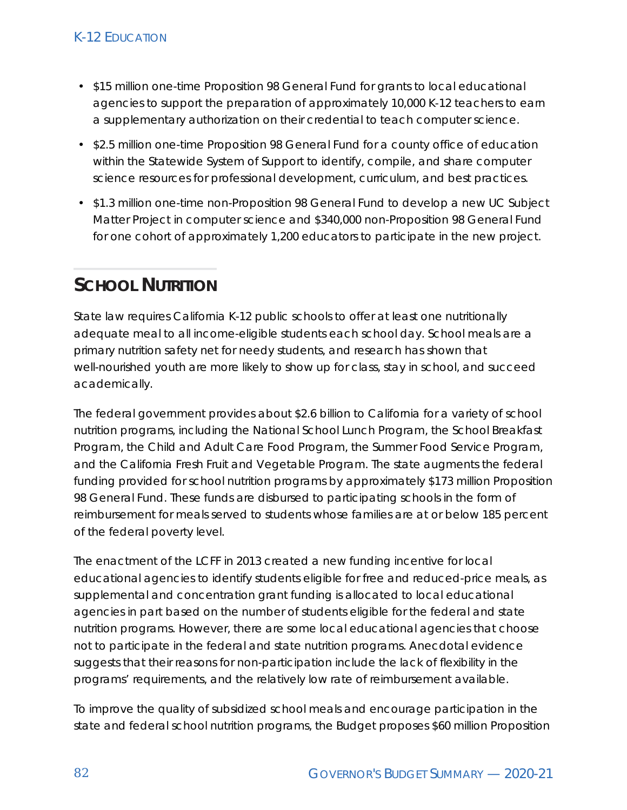- \$15 million one-time Proposition 98 General Fund for grants to local educational agencies to support the preparation of approximately 10,000 K‑12 teachers to earn a supplementary authorization on their credential to teach computer science.
- \$2.5 million one-time Proposition 98 General Fund for a county office of education within the Statewide System of Support to identify, compile, and share computer science resources for professional development, curriculum, and best practices.
- \$1.3 million one-time non-Proposition 98 General Fund to develop a new UC Subject Matter Project in computer science and \$340,000 non-Proposition 98 General Fund for one cohort of approximately 1,200 educators to participate in the new project.

# **SCHOOL NUTRITION**

State law requires California K-12 public schools to offer at least one nutritionally adequate meal to all income-eligible students each school day. School meals are a primary nutrition safety net for needy students, and research has shown that well-nourished youth are more likely to show up for class, stay in school, and succeed academically.

The federal government provides about \$2.6 billion to California for a variety of school nutrition programs, including the National School Lunch Program, the School Breakfast Program, the Child and Adult Care Food Program, the Summer Food Service Program, and the California Fresh Fruit and Vegetable Program. The state augments the federal funding provided for school nutrition programs by approximately \$173 million Proposition 98 General Fund. These funds are disbursed to participating schools in the form of reimbursement for meals served to students whose families are at or below 185 percent of the federal poverty level.

The enactment of the LCFF in 2013 created a new funding incentive for local educational agencies to identify students eligible for free and reduced-price meals, as supplemental and concentration grant funding is allocated to local educational agencies in part based on the number of students eligible for the federal and state nutrition programs. However, there are some local educational agencies that choose not to participate in the federal and state nutrition programs. Anecdotal evidence suggests that their reasons for non-participation include the lack of flexibility in the programs' requirements, and the relatively low rate of reimbursement available.

To improve the quality of subsidized school meals and encourage participation in the state and federal school nutrition programs, the Budget proposes \$60 million Proposition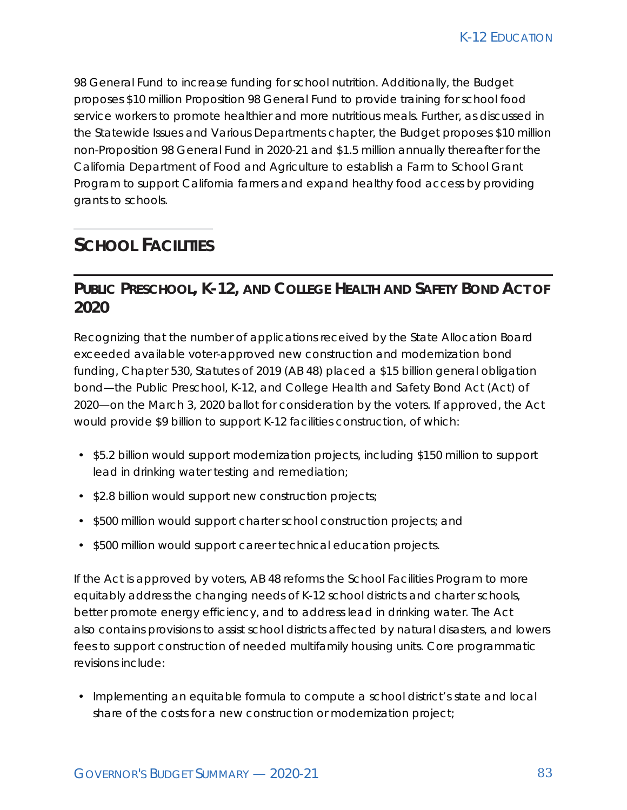98 General Fund to increase funding for school nutrition. Additionally, the Budget proposes \$10 million Proposition 98 General Fund to provide training for school food service workers to promote healthier and more nutritious meals. Further, as discussed in the Statewide Issues and Various Departments chapter, the Budget proposes \$10 million non-Proposition 98 General Fund in 2020-21 and \$1.5 million annually thereafter for the California Department of Food and Agriculture to establish a Farm to School Grant Program to support California farmers and expand healthy food access by providing grants to schools.

# **SCHOOL FACILITIES**

## **PUBLIC PRESCHOOL, K-12, AND COLLEGE HEALTH AND SAFETY BOND ACT OF 2020**

Recognizing that the number of applications received by the State Allocation Board exceeded available voter-approved new construction and modernization bond funding, Chapter 530, Statutes of 2019 (AB 48) placed a \$15 billion general obligation bond—the Public Preschool, K-12, and College Health and Safety Bond Act (Act) of 2020—on the March 3, 2020 ballot for consideration by the voters. If approved, the Act would provide \$9 billion to support K-12 facilities construction, of which:

- \$5.2 billion would support modernization projects, including \$150 million to support lead in drinking water testing and remediation;
- \$2.8 billion would support new construction projects;
- \$500 million would support charter school construction projects; and
- \$500 million would support career technical education projects.

If the Act is approved by voters, AB 48 reforms the School Facilities Program to more equitably address the changing needs of K-12 school districts and charter schools, better promote energy efficiency, and to address lead in drinking water. The Act also contains provisions to assist school districts affected by natural disasters, and lowers fees to support construction of needed multifamily housing units. Core programmatic revisions include:

• Implementing an equitable formula to compute a school district's state and local share of the costs for a new construction or modernization project;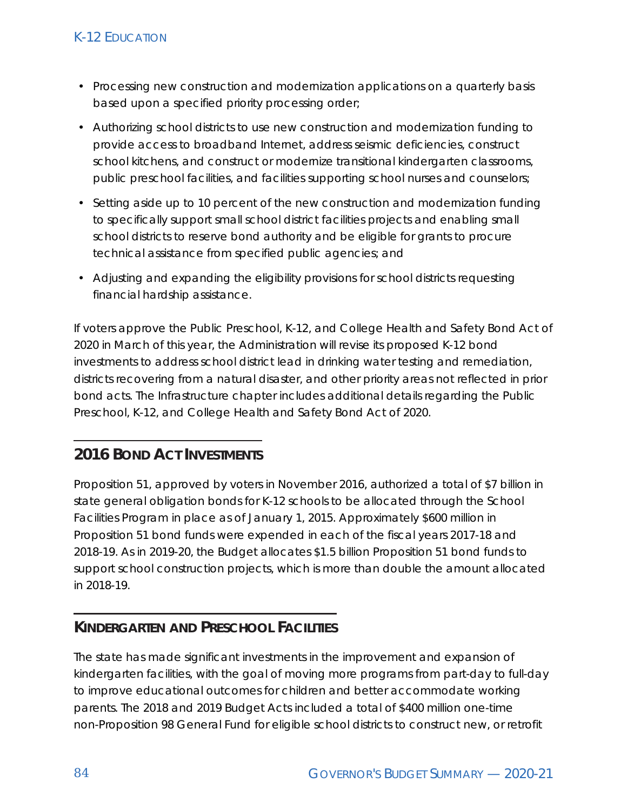- Processing new construction and modernization applications on a quarterly basis based upon a specified priority processing order;
- Authorizing school districts to use new construction and modernization funding to provide access to broadband Internet, address seismic deficiencies, construct school kitchens, and construct or modernize transitional kindergarten classrooms, public preschool facilities, and facilities supporting school nurses and counselors;
- Setting aside up to 10 percent of the new construction and modernization funding to specifically support small school district facilities projects and enabling small school districts to reserve bond authority and be eligible for grants to procure technical assistance from specified public agencies; and
- Adjusting and expanding the eligibility provisions for school districts requesting financial hardship assistance.

If voters approve the Public Preschool, K-12, and College Health and Safety Bond Act of 2020 in March of this year, the Administration will revise its proposed K-12 bond investments to address school district lead in drinking water testing and remediation, districts recovering from a natural disaster, and other priority areas not reflected in prior bond acts. The Infrastructure chapter includes additional details regarding the Public Preschool, K-12, and College Health and Safety Bond Act of 2020.

## **2016 BOND ACT INVESTMENTS**

Proposition 51, approved by voters in November 2016, authorized a total of \$7 billion in state general obligation bonds for K-12 schools to be allocated through the School Facilities Program in place as of January 1, 2015. Approximately \$600 million in Proposition 51 bond funds were expended in each of the fiscal years 2017-18 and 2018-19. As in 2019-20, the Budget allocates \$1.5 billion Proposition 51 bond funds to support school construction projects, which is more than double the amount allocated in 2018-19.

#### **KINDERGARTEN AND PRESCHOOL FACILITIES**

The state has made significant investments in the improvement and expansion of kindergarten facilities, with the goal of moving more programs from part-day to full-day to improve educational outcomes for children and better accommodate working parents. The 2018 and 2019 Budget Acts included a total of \$400 million one-time non-Proposition 98 General Fund for eligible school districts to construct new, or retrofit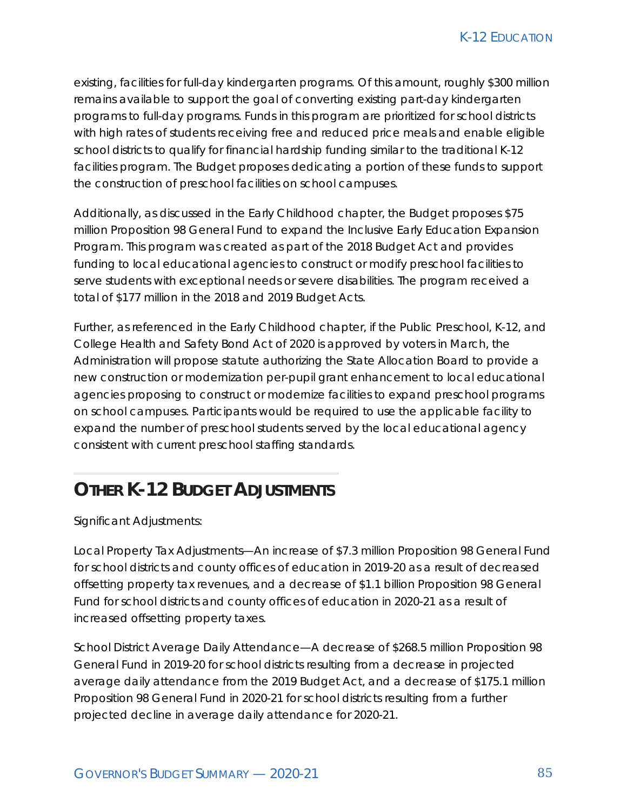existing, facilities for full-day kindergarten programs. Of this amount, roughly \$300 million remains available to support the goal of converting existing part-day kindergarten programs to full-day programs. Funds in this program are prioritized for school districts with high rates of students receiving free and reduced price meals and enable eligible school districts to qualify for financial hardship funding similar to the traditional K-12 facilities program. The Budget proposes dedicating a portion of these funds to support the construction of preschool facilities on school campuses.

Additionally, as discussed in the Early Childhood chapter, the Budget proposes \$75 million Proposition 98 General Fund to expand the Inclusive Early Education Expansion Program. This program was created as part of the 2018 Budget Act and provides funding to local educational agencies to construct or modify preschool facilities to serve students with exceptional needs or severe disabilities. The program received a total of \$177 million in the 2018 and 2019 Budget Acts.

Further, as referenced in the Early Childhood chapter, if the Public Preschool, K-12, and College Health and Safety Bond Act of 2020 is approved by voters in March, the Administration will propose statute authorizing the State Allocation Board to provide a new construction or modernization per-pupil grant enhancement to local educational agencies proposing to construct or modernize facilities to expand preschool programs on school campuses. Participants would be required to use the applicable facility to expand the number of preschool students served by the local educational agency consistent with current preschool staffing standards.

# **OTHER K-12 BUDGET ADJUSTMENTS**

Significant Adjustments:

Local Property Tax Adjustments—An increase of \$7.3 million Proposition 98 General Fund for school districts and county offices of education in 2019-20 as a result of decreased offsetting property tax revenues, and a decrease of \$1.1 billion Proposition 98 General Fund for school districts and county offices of education in 2020-21 as a result of increased offsetting property taxes.

School District Average Daily Attendance—A decrease of \$268.5 million Proposition 98 General Fund in 2019-20 for school districts resulting from a decrease in projected average daily attendance from the 2019 Budget Act, and a decrease of \$175.1 million Proposition 98 General Fund in 2020-21 for school districts resulting from a further projected decline in average daily attendance for 2020-21.